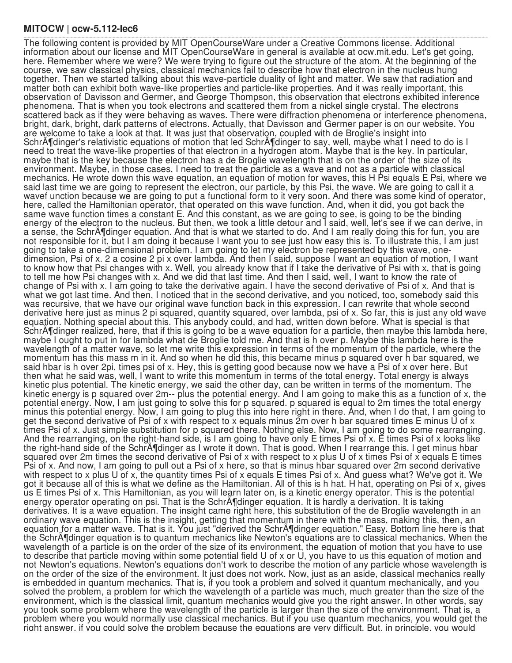## **MITOCW | ocw-5.112-lec6**

The following content is provided by MIT OpenCourseWare under a Creative Commons license. Additional information about our license and MIT OpenCourseWare in general is available at ocw.mit.edu. Let's get going, here. Remember where we were? We were trying to figure out the structure of the atom. At the beginning of the course, we saw classical physics, classical mechanics fail to describe how that electron in the nucleus hung together. Then we started talking about this wave-particle duality of light and matter. We saw that radiation and matter both can exhibit both wave-like properties and particle-like properties. And it was really important, this observation of Davisson and Germer, and George Thompson, this observation that electrons exhibited inference phenomena. That is when you took electrons and scattered them from a nickel single crystal. The electrons scattered back as if they were behaving as waves. There were diffraction phenomena or interference phenomena, bright, dark, bright, dark patterns of electrons. Actually, that Davisson and Germer paper is on our website. You are welcome to take a look at that. It was just that observation, coupled with de Broglie's insight into SchrĶdinger's relativistic equations of motion that led SchrĶdinger to say, well, maybe what I need to do is I need to treat the wave-like properties of that electron in a hydrogen atom. Maybe that is the key. In particular, maybe that is the key because the electron has a de Broglie wavelength that is on the order of the size of its environment. Maybe, in those cases, I need to treat the particle as a wave and not as a particle with classical mechanics. He wrote down this wave equation, an equation of motion for waves, this H Psi equals E Psi, where we said last time we are going to represent the electron, our particle, by this Psi, the wave. We are going to call it a wavef unction because we are going to put a functional form to it very soon. And there was some kind of operator, here, called the Hamiltonian operator, that operated on this wave function. And, when it did, you got back the same wave function times a constant E. And this constant, as we are going to see, is going to be the binding energy of the electron to the nucleus. But then, we took a little detour and I said, well, let's see if we can derive, in a sense, the SchrA¶dinger equation. And that is what we started to do. And I am really doing this for fun, you are not responsible for it, but I am doing it because I want you to see just how easy this is. To illustrate this, I am just going to take a one-dimensional problem. I am going to let my electron be represented by this wave, onedimension, Psi of x. 2 a cosine 2 pi x over lambda. And then I said, suppose I want an equation of motion, I want to know how that Psi changes with x. Well, you already know that if I take the derivative of Psi with x, that is going to tell me how Psi changes with x. And we did that last time. And then I said, well, I want to know the rate of change of Psi with x. I am going to take the derivative again. I have the second derivative of Psi of x. And that is what we got last time. And then, I noticed that in the second derivative, and you noticed, too, somebody said this was recursive, that we have our original wave function back in this expression. I can rewrite that whole second derivative here just as minus 2 pi squared, quantity squared, over lambda, psi of x. So far, this is just any old wave equation. Nothing special about this. This anybody could, and had, written down before. What is special is that Schr $\tilde{A}$ ¶dinger realized, here, that if this is going to be a wave equation for a particle, then maybe this lambda here, maybe I ought to put in for lambda what de Broglie told me. And that is h over p. Maybe this lambda here is the wavelength of a matter wave, so let me write this expression in terms of the momentum of the particle, where the momentum has this mass m in it. And so when he did this, this became minus p squared over h bar squared, we said hbar is h over 2pi, times psi of x. Hey, this is getting good because now we have a Psi of x over here. But then what he said was, well, I want to write this momentum in terms of the total energy. Total energy is always kinetic plus potential. The kinetic energy, we said the other day, can be written in terms of the momentum. The kinetic energy is p squared over 2m-- plus the potential energy. And I am going to make this as a function of x, the potential energy. Now, I am just going to solve this for p squared. p squared is equal to 2m times the total energy minus this potential energy. Now, I am going to plug this into here right in there. And, when I do that, I am going to get the second derivative of Psi of x with respect to x equals minus  $\tilde{z}$ m over h bar squared times E minus U of x times Psi of x. Just simple substitution for p squared there. Nothing else. Now, I am going to do some rearranging. And the rearranging, on the right-hand side, is I am going to have only E times Psi of x. E times Psi of x looks like the right-hand side of the SchrA¶dinger as I wrote it down. That is good. When I rearrange this, I get minus hbar squared over 2m times the second derivative of Psi of x with respect to x plus U of x times Psi of x equals E times Psi of x. And now, I am going to pull out a Psi of x here, so that is minus hbar squared over 2m second derivative with respect to x plus U of x, the quantity times Psi of x equals E times Psi of x. And guess what? We've got it. We got it because all of this is what we define as the Hamiltonian. All of this is h hat. H hat, operating on Psi of x, gives us E times Psi of x. This Hamiltonian, as you will learn later on, is a kinetic energy operator. This is the potential energy operator operating on psi. That is the SchrA¶dinger equation. It is hardly a derivation. It is taking derivatives. It is a wave equation. The insight came right here, this substitution of the de Broglie wavelength in an ordinary wave equation. This is the insight, getting that momentum in there with the mass, making this, then, an equation for a matter wave. That is it. You just "derived the SchrĶdinger equation." Easy. Bottom line here is that the SchrA¶dinger equation is to quantum mechanics like Newton's equations are to classical mechanics. When the wavelength of a particle is on the order of the size of its environment, the equation of motion that you have to use to describe that particle moving within some potential field U of x or U, you have to us this equation of motion and not Newton's equations. Newton's equations don't work to describe the motion of any particle whose wavelength is on the order of the size of the environment. It just does not work. Now, just as an aside, classical mechanics really is embedded in quantum mechanics. That is, if you took a problem and solved it quantum mechanically, and you solved the problem, a problem for which the wavelength of a particle was much, much greater than the size of the environment, which is the classical limit, quantum mechanics would give you the right answer. In other words, say you took some problem where the wavelength of the particle is larger than the size of the environment. That is, a problem where you would normally use classical mechanics. But if you use quantum mechanics, you would get the right answer, if you could solve the problem because the equations are very difficult. But, in principle, you would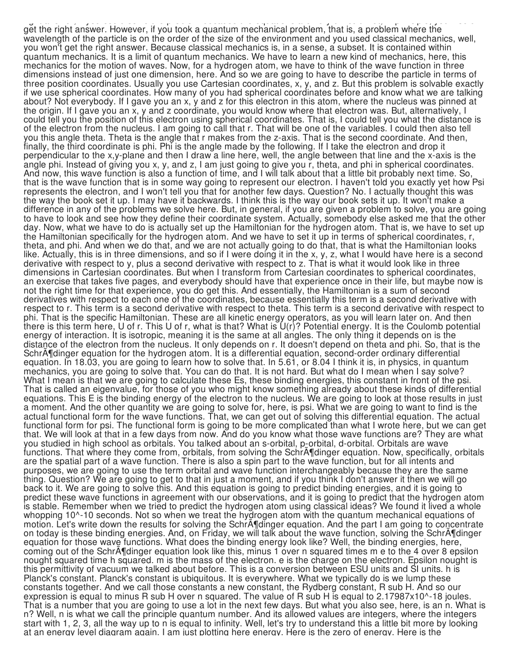right answer, if you could solve the problem because the equations are very difficult. But, in principle, you would get the right answer. However, if you took a quantum mechanical problem, that is, a problem where the wavelength of the particle is on the order of the size of the environment and you used classical mechanics, well, you won't get the right answer. Because classical mechanics is, in a sense, a subset. It is contained within quantum mechanics. It is a limit of quantum mechanics. We have to learn a new kind of mechanics, here, this mechanics for the motion of waves. Now, for a hydrogen atom, we have to think of the wave function in three dimensions instead of just one dimension, here. And so we are going to have to describe the particle in terms of three position coordinates. Usually you use Cartesian coordinates, x, y, and z. But this problem is solvable exactly if we use spherical coordinates. How many of you had spherical coordinates before and know what we are talking about? Not everybody. If I gave you an x, y and z for this electron in this atom, where the nucleus was pinned at the origin. If I gave you an x, y and z coordinate, you would know where that electron was. But, alternatively, I could tell you the position of this electron using spherical coordinates. That is, I could tell you what the distance is of the electron from the nucleus. I am going to call that r. That will be one of the variables. I could then also tell you this angle theta. Theta is the angle that r makes from the z-axis. That is the second coordinate. And then, finally, the third coordinate is phi. Phi is the angle made by the following. If I take the electron and drop it perpendicular to the x,y-plane and then I draw a line here, well, the angle between that line and the x-axis is the angle phi. Instead of giving you x, y, and z, I am just going to give you r, theta, and phi in spherical coordinates. And now, this wave function is also a function of time, and I will talk about that a little bit probably next time. So, that is the wave function that is in some way going to represent our electron. I haven't told you exactly yet how Psi represents the electron, and I won't tell you that for another few days. Question? No. I actually thought this was the way the book set it up. I may have it backwards. I think this is the way our book sets it up. It won't make a difference in any of the problems we solve here. But, in general, if you are given a problem to solve, you are going to have to look and see how they define their coordinate system. Actually, somebody else asked me that the other day. Now, what we have to do is actually set up the Hamiltonian for the hydrogen atom. That is, we have to set up the Hamiltonian specifically for the hydrogen atom. And we have to set it up in terms of spherical coordinates, r, theta, and phi. And when we do that, and we are not actually going to do that, that is what the Hamiltonian looks like. Actually, this is in three dimensions, and so if I were doing it in the x, y, z, what I would have here is a second derivative with respect to y, plus a second derivative with respect to z. That is what it would look like in three dimensions in Cartesian coordinates. But when I transform from Cartesian coordinates to spherical coordinates, an exercise that takes five pages, and everybody should have that experience once in their life, but maybe now is not the right time for that experience, you do get this. And essentially, the Hamiltonian is a sum of second derivatives with respect to each one of the coordinates, because essentially this term is a second derivative with respect to r. This term is a second derivative with respect to theta. This term is a second derivative with respect to phi. That is the specific Hamiltonian. These are all kinetic energy operators, as you will learn later on. And then there is this term here, U of r. This U of r, what is that? What is U(r)? Potential energy. It is the Coulomb potential energy of interaction. It is isotropic, meaning it is the same at all angles. The only thing it depends on is the distance of the electron from the nucleus. It only depends on r. It doesn't depend on theta and phi. So, that is the SchrĶdinger equation for the hydrogen atom. It is a differential equation, second-order ordinary differential equation. In 18.03, you are going to learn how to solve that. In 5.61, or 8.04 I think it is, in physics, in quantum mechanics, you are going to solve that. You can do that. It is not hard. But what do I mean when I say solve? What I mean is that we are going to calculate these Es, these binding energies, this constant in front of the psi. That is called an eigenvalue, for those of you who might know something already about these kinds of differential equations. This E is the binding energy of the electron to the nucleus. We are going to look at those results in just a moment. And the other quantity we are going to solve for, here, is psi. What we are going to want to find is the actual functional form for the wave functions. That, we can get out of solving this differential equation. The actual functional form for psi. The functional form is going to be more complicated than what I wrote here, but we can get that. We will look at that in a few days from now. And do you know what those wave functions are? They are what you studied in high school as orbitals. You talked about an s-orbital, p-orbital, d-orbital. Orbitals are wave functions. That where they come from, orbitals, from solving the Schr $\tilde{A}$ ¶dinger equation. Now, specifically, orbitals are the spatial part of a wave function. There is also a spin part to the wave function, but for all intents and purposes, we are going to use the term orbital and wave function interchangeably because they are the same thing. Question? We are going to get to that in just a moment, and if you think I don't answer it then we will go back to it. We are going to solve this. And this equation is going to predict binding energies, and it is going to predict these wave functions in agreement with our observations, and it is going to predict that the hydrogen atom is stable. Remember when we tried to predict the hydrogen atom using classical ideas? We found it lived a whole whopping 10^-10 seconds. Not so when we treat the hydrogen atom with the quantum mechanical equations of motion. Let's write down the results for solving the SchrA¶dinger equation. And the part I am going to concentrate on today is these binding energies. And, on Friday, we will talk about the wave function, solving the SchrĶdinger equation for those wave functions. What does the binding energy look like? Well, the binding energies, here, coming out of the SchrA¶dinger equation look like this, minus 1 over n squared times m e to the 4 over 8 epsilon nought squared time h squared. m is the mass of the electron. e is the charge on the electron. Epsilon nought is this permittivity of vacuum we talked about before. This is a conversion between ESU units and SI units. h is Planck's constant. Planck's constant is ubiquitous. It is everywhere. What we typically do is we lump these constants together. And we call those constants a new constant, the Rydberg constant, R sub H. And so our expression is equal to minus R sub H over n squared. The value of R sub H is equal to 2.17987x10^-18 joules. That is a number that you are going to use a lot in the next few days. But what you also see, here, is an n. What is n? Well, n is what we call the principle quantum number. And its allowed values are integers, where the integers start with 1, 2, 3, all the way up to n is equal to infinity. Well, let's try to understand this a little bit more by looking at an energy level diagram again. I am just plotting here energy. Here is the zero of energy. Here is the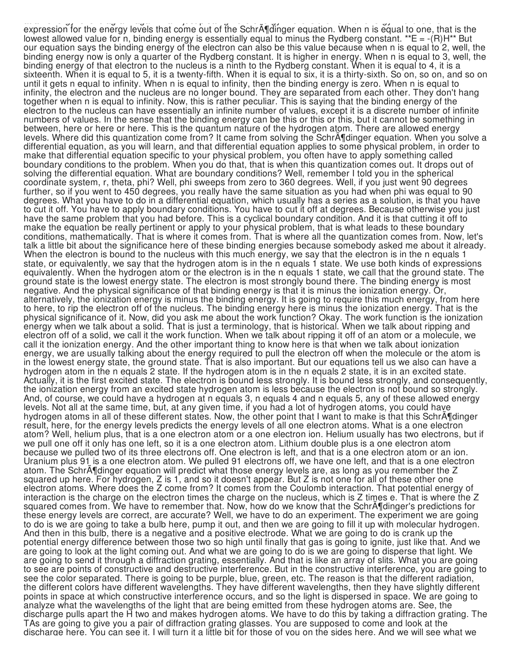at an energy level diagram again. I am just plotting here energy. Here is the zero of energy. Here is the expression for the energy levels that come out of the SchrA¶dinger equation. When n is equal to one, that is the lowest allowed value for n, binding energy is essentially equal to minus the Rydberg constant. \*\*E =  $-(R)H**$  But our equation says the binding energy of the electron can also be this value because when n is equal to 2, well, the binding energy now is only a quarter of the Rydberg constant. It is higher in energy. When n is equal to 3, well, the binding energy of that electron to the nucleus is a ninth to the Rydberg constant. When it is equal to 4, it is a sixteenth. When it is equal to 5, it is a twenty-fifth. When it is equal to six, it is a thirty-sixth. So on, so on, and so on until it gets n equal to infinity. When n is equal to infinity, then the binding energy is zero. When n is equal to infinity, the electron and the nucleus are no longer bound. They are separated from each other. They don't hang together when n is equal to infinity. Now, this is rather peculiar. This is saying that the binding energy of the electron to the nucleus can have essentially an infinite number of values, except it is a discrete number of infinite numbers of values. In the sense that the binding energy can be this or this or this, but it cannot be something in between, here or here or here. This is the quantum nature of the hydrogen atom. There are allowed energy levels. Where did this quantization come from? It came from solving the Schr $\tilde{A}$ ¶dinger equation. When you solve a differential equation, as you will learn, and that differential equation applies to some physical problem, in order to make that differential equation specific to your physical problem, you often have to apply something called boundary conditions to the problem. When you do that, that is when this quantization comes out. It drops out of solving the differential equation. What are boundary conditions? Well, remember I told you in the spherical coordinate system, r, theta, phi? Well, phi sweeps from zero to 360 degrees. Well, if you just went 90 degrees further, so if you went to 450 degrees, you really have the same situation as you had when phi was equal to 90 degrees. What you have to do in a differential equation, which usually has a series as a solution, is that you have to cut it off. You have to apply boundary conditions. You have to cut it off at degrees. Because otherwise you just have the same problem that you had before. This is a cyclical boundary condition. And it is that cutting it off to make the equation be really pertinent or apply to your physical problem, that is what leads to these boundary conditions, mathematically. That is where it comes from. That is where all the quantization comes from. Now, let's talk a little bit about the significance here of these binding energies because somebody asked me about it already. When the electron is bound to the nucleus with this much energy, we say that the electron is in the n equals 1 state, or equivalently, we say that the hydrogen atom is in the n equals 1 state. We use both kinds of expressions equivalently. When the hydrogen atom or the electron is in the n equals 1 state, we call that the ground state. The ground state is the lowest energy state. The electron is most strongly bound there. The binding energy is most negative. And the physical significance of that binding energy is that it is minus the ionization energy. Or, alternatively, the ionization energy is minus the binding energy. It is going to require this much energy, from here to here, to rip the electron off of the nucleus. The binding energy here is minus the ionization energy. That is the physical significance of it. Now, did you ask me about the work function? Okay. The work function is the ionization energy when we talk about a solid. That is just a terminology, that is historical. When we talk about ripping and electron off of a solid, we call it the work function. When we talk about ripping it off of an atom or a molecule, we call it the ionization energy. And the other important thing to know here is that when we talk about ionization energy, we are usually talking about the energy required to pull the electron off when the molecule or the atom is in the lowest energy state, the ground state. That is also important. But our equations tell us we also can have a hydrogen atom in the n equals 2 state. If the hydrogen atom is in the n equals 2 state, it is in an excited state. Actually, it is the first excited state. The electron is bound less strongly. It is bound less strongly, and consequently, the ionization energy from an excited state hydrogen atom is less because the electron is not bound so strongly. And, of course, we could have a hydrogen at n equals 3, n equals 4 and n equals 5, any of these allowed energy levels. Not all at the same time, but, at any given time, if you had a lot of hydrogen atoms, you could have hydrogen atoms in all of these different states. Now, the other point that I want to make is that this SchrA¶dinger result, here, for the energy levels predicts the energy levels of all one electron atoms. What is a one electron atom? Well, helium plus, that is a one electron atom or a one electron ion. Helium usually has two electrons, but if we pull one off it only has one left, so it is a one electron atom. Lithium double plus is a one electron atom because we pulled two of its three electrons off. One electron is left, and that is a one electron atom or an ion. Uranium plus 91 is a one electron atom. We pulled 91 electrons off, we have one left, and that is a one electron atom. The Schr $\tilde{A}$  dinger equation will predict what those energy levels are, as long as you remember the Z squared up here. For hydrogen, Z is 1, and so it doesn't appear. But Z is not one for all of these other one electron atoms. Where does the Z come from? It comes from the Coulomb interaction. That potential energy of interaction is the charge on the electron times the charge on the nucleus, which is Z times e. That is where the Z squared comes from. We have to remember that. Now, how do we know that the Schr $\tilde{A}$ fdinger's predictions for these energy levels are correct, are accurate? Well, we have to do an experiment. The experiment we are going to do is we are going to take a bulb here, pump it out, and then we are going to fill it up with molecular hydrogen. And then in this bulb, there is a negative and a positive electrode. What we are going to do is crank up the potential energy difference between those two so high until finally that gas is going to ignite, just like that. And we are going to look at the light coming out. And what we are going to do is we are going to disperse that light. We are going to send it through a diffraction grating, essentially. And that is like an array of slits. What you are going to see are points of constructive and destructive interference. But in the constructive interference, you are going to see the color separated. There is going to be purple, blue, green, etc. The reason is that the different radiation, the different colors have different wavelengths. They have different wavelengths, then they have slightly different points in space at which constructive interference occurs, and so the light is dispersed in space. We are going to analyze what the wavelengths of the light that are being emitted from these hydrogen atoms are. See, the discharge pulls apart the H two and makes hydrogen atoms. We have to do this by taking a diffraction grating. The TAs are going to give you a pair of diffraction grating glasses. You are supposed to come and look at the discharge here. You can see it. I will turn it a little bit for those of you on the sides here. And we will see what we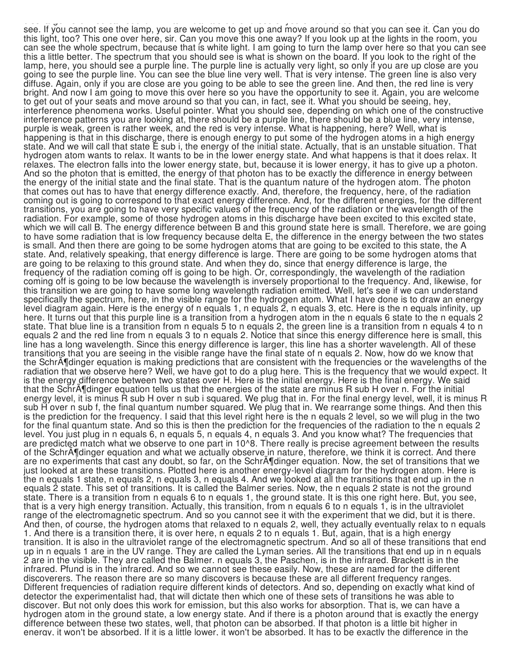discharge here. You can see it. I will turn it a little bit for those of you on the sides here. And we will see what we see. If you cannot see the lamp, you are welcome to get up and move around so that you can see it. Can you do this light, too? This one over here, sir. Can you move this one away? If you look up at the lights in the room, you can see the whole spectrum, because that is white light. I am going to turn the lamp over here so that you can see this a little better. The spectrum that you should see is what is shown on the board. If you look to the right of the lamp, here, you should see a purple line. The purple line is actually very light, so only if you are up close are you going to see the purple line. You can see the blue line very well. That is very intense. The green line is also very diffuse. Again, only if you are close are you going to be able to see the green line. And then, the red line is very bright. And now I am going to move this over here so you have the opportunity to see it. Again, you are welcome to get out of your seats and move around so that you can, in fact, see it. What you should be seeing, hey, interference phenomena works. Useful pointer. What you should see, depending on which one of the constructive interference patterns you are looking at, there should be a purple line, there should be a blue line, very intense, purple is weak, green is rather week, and the red is very intense. What is happening, here? Well, what is happening is that in this discharge, there is enough energy to put some of the hydrogen atoms in a high energy state. And we will call that state E sub i, the energy of the initial state. Actually, that is an unstable situation. That hydrogen atom wants to relax. It wants to be in the lower energy state. And what happens is that it does relax. It relaxes. The electron falls into the lower energy state, but, because it is lower energy, it has to give up a photon. And so the photon that is emitted, the energy of that photon has to be exactly the difference in energy between the energy of the initial state and the final state. That is the quantum nature of the hydrogen atom. The photon that comes out has to have that energy difference exactly. And, therefore, the frequency, here, of the radiation coming out is going to correspond to that exact energy difference. And, for the different energies, for the different transitions, you are going to have very specific values of the frequency of the radiation or the wavelength of the radiation. For example, some of those hydrogen atoms in this discharge have been excited to this excited state, which we will call B. The energy difference between B and this ground state here is small. Therefore, we are going to have some radiation that is low frequency because delta E, the difference in the energy between the two states is small. And then there are going to be some hydrogen atoms that are going to be excited to this state, the A state. And, relatively speaking, that energy difference is large. There are going to be some hydrogen atoms that are going to be relaxing to this ground state. And when they do, since that energy difference is large, the frequency of the radiation coming off is going to be high. Or, correspondingly, the wavelength of the radiation coming off is going to be low because the wavelength is inversely proportional to the frequency. And, likewise, for this transition we are going to have some long wavelength radiation emitted. Well, let's see if we can understand specifically the spectrum, here, in the visible range for the hydrogen atom. What I have done is to draw an energy level diagram again. Here is the energy of n equals 1, n equals 2, n equals 3, etc. Here is the n equals infinity, up here. It turns out that this purple line is a transition from a hydrogen atom in the n equals 6 state to the n equals 2 state. That blue line is a transition from n equals 5 to n equals 2, the green line is a transition from n equals 4 to n equals 2 and the red line from n equals 3 to n equals 2. Notice that since this energy difference here is small, this line has a long wavelength. Since this energy difference is larger, this line has a shorter wavelength. All of these transitions that you are seeing in the visible range have the final state of n equals 2. Now, how do we know that the SchrA¶dinger equation is making predictions that are consistent with the frequencies or the wavelengths of the radiation that we observe here? Well, we have got to do a plug here. This is the frequency that we would expect. It is the energy difference between two states over H. Here is the initial energy. Here is the final energy. We said that the Schräfdinger equation tells us that the energies of the state are minus R sub H over n. For the initial energy level, it is minus R sub H over n sub i squared. We plug that in. For the final energy level, well, it is minus R sub H over n sub f, the final quantum number squared. We plug that in. We rearrange some things. And then this is the prediction for the frequency. I said that this level right here is the n equals 2 level, so we will plug in the two for the final quantum state. And so this is then the prediction for the frequencies of the radiation to the n equals 2 level. You just plug in n equals 6, n equals 5, n equals 4, n equals 3. And you know what? The frequencies that are predicted match what we observe to one part in 10^8. There really is precise agreement between the results of the SchrA¶dinger equation and what we actually observe in nature, therefore, we think it is correct. And there are no experiments that cast any doubt, so far, on the SchrA¶dinger equation. Now, the set of transitions that we just looked at are these transitions. Plotted here is another energy-level diagram for the hydrogen atom. Here is the n equals 1 state, n equals 2, n equals 3, n equals 4. And we looked at all the transitions that end up in the n equals 2 state. This set of transitions. It is called the Balmer series. Now, the n equals 2 state is not the ground state. There is a transition from n equals 6 to n equals 1, the ground state. It is this one right here. But, you see, that is a very high energy transition. Actually, this transition, from n equals 6 to n equals 1, is in the ultraviolet range of the electromagnetic spectrum. And so you cannot see it with the experiment that we did, but it is there. And then, of course, the hydrogen atoms that relaxed to n equals 2, well, they actually eventually relax to n equals 1. And there is a transition there, it is over here, n equals 2 to n equals 1. But, again, that is a high energy transition. It is also in the ultraviolet range of the electromagnetic spectrum. And so all of these transitions that end up in n equals 1 are in the UV range. They are called the Lyman series. All the transitions that end up in n equals 2 are in the visible. They are called the Balmer. n equals 3, the Paschen, is in the infrared. Brackett is in the infrared. Pfund is in the infrared. And so we cannot see these easily. Now, these are named for the different discoverers. The reason there are so many discovers is because these are all different frequency ranges. Different frequencies of radiation require different kinds of detectors. And so, depending on exactly what kind of detector the experimentalist had, that will dictate then which one of these sets of transitions he was able to discover. But not only does this work for emission, but this also works for absorption. That is, we can have a hydrogen atom in the ground state, a low energy state. And if there is a photon around that is exactly the energy difference between these two states, well, that photon can be absorbed. If that photon is a little bit higher in energy, it won't be absorbed. If it is a little lower, it won't be absorbed. It has to be exactly the difference in the